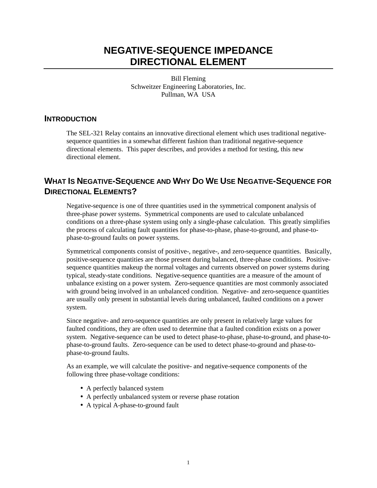# **NEGATIVE-SEQUENCE IMPEDANCE DIRECTIONAL ELEMENT**

Bill Fleming Schweitzer Engineering Laboratories, Inc. Pullman, WA USA

## **INTRODUCTION**

The SEL-321 Relay contains an innovative directional element which uses traditional negativesequence quantities in a somewhat different fashion than traditional negative-sequence directional elements. This paper describes, and provides a method for testing, this new directional element.

# **WHAT IS NEGATIVE-SEQUENCE AND WHY DO WE USE NEGATIVE-SEQUENCE FOR DIRECTIONAL ELEMENTS?**

Negative-sequence is one of three quantities used in the symmetrical component analysis of three-phase power systems. Symmetrical components are used to calculate unbalanced conditions on a three-phase system using only a single-phase calculation. This greatly simplifies the process of calculating fault quantities for phase-to-phase, phase-to-ground, and phase-tophase-to-ground faults on power systems.

Symmetrical components consist of positive-, negative-, and zero-sequence quantities. Basically, positive-sequence quantities are those present during balanced, three-phase conditions. Positivesequence quantities makeup the normal voltages and currents observed on power systems during typical, steady-state conditions. Negative-sequence quantities are a measure of the amount of unbalance existing on a power system. Zero-sequence quantities are most commonly associated with ground being involved in an unbalanced condition. Negative- and zero-sequence quantities are usually only present in substantial levels during unbalanced, faulted conditions on a power system.

Since negative- and zero-sequence quantities are only present in relatively large values for faulted conditions, they are often used to determine that a faulted condition exists on a power system. Negative-sequence can be used to detect phase-to-phase, phase-to-ground, and phase-tophase-to-ground faults. Zero-sequence can be used to detect phase-to-ground and phase-tophase-to-ground faults.

As an example, we will calculate the positive- and negative-sequence components of the following three phase-voltage conditions:

- A perfectly balanced system
- A perfectly unbalanced system or reverse phase rotation
- A typical A-phase-to-ground fault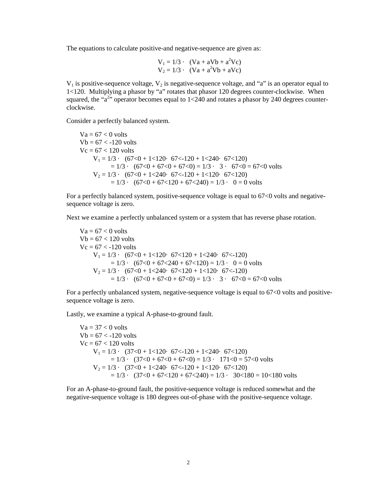The equations to calculate positive-and negative-sequence are given as:

$$
V_1 = 1/3 \cdot (Va + aVb + a2Vc)
$$
  
\n
$$
V_2 = 1/3 \cdot (Va + a2Vb + aVc)
$$

 $V_1$  is positive-sequence voltage,  $V_2$  is negative-sequence voltage, and "a" is an operator equal to 1<120. Multiplying a phasor by "a" rotates that phasor 120 degrees counter-clockwise. When squared, the " $a^{2}$ " operator becomes equal to 1<240 and rotates a phasor by 240 degrees counterclockwise.

Consider a perfectly balanced system.

 $Va = 67 < 0$  volts  $Vb = 67 < -120$  volts  $Vc = 67 < 120$  volts  $V_1 = 1/3$  ·  $(67<0 + 1 < 120$  ·  $67 < 120 + 1 < 240$  ·  $67 < 120$ )  $= 1/3$  ·  $(67<0 + 67<0 + 67<0) = 1/3$  ·  $3 \cdot 67<0 = 67<0$  volts  $V_2 = 1/3 \cdot (67 \le 0 + 1 \le 240 \cdot 67 \le 120 + 1 \le 120 \cdot 67 \le 120)$  $= 1/3$  ·  $(67<0 + 67<120 + 67<240) = 1/3$  ·  $0 = 0$  volts

For a perfectly balanced system, positive-sequence voltage is equal to 67<0 volts and negativesequence voltage is zero.

Next we examine a perfectly unbalanced system or a system that has reverse phase rotation.

 $Va = 67 < 0$  volts  $Vb = 67 < 120$  volts  $Vc = 67 < -120$  volts  $V_1 = 1/3 \cdot (67 \le 0 + 1 \le 120 \cdot 67 \le 120 + 1 \le 240 \cdot 67 \le 120)$  $= 1/3$  ·  $(67<0 + 67 < 240 + 67 < 120) = 1/3$  ·  $0 = 0$  volts  $V_2 = 1/3$  ·  $(67<0 + 1 < 240$  ·  $67 < 120 + 1 < 120$  ·  $67 < 120$ )  $= 1/3$  ·  $(67<0 + 67<0 + 67<0) = 1/3$  ·  $3 \cdot 67<0 = 67<0$  volts

For a perfectly unbalanced system, negative-sequence voltage is equal to 67<0 volts and positivesequence voltage is zero.

Lastly, we examine a typical A-phase-to-ground fault.

 $Va = 37 < 0$  volts  $Vb = 67 < -120$  volts  $Vc = 67 < 120$  volts  $V_1 = 1/3$  ·  $(37<0 + 1 < 120$  ·  $67 < 120 + 1 < 240$  ·  $67 < 120$ )  $= 1/3$  ·  $(37<0 + 67<0 + 67<0) = 1/3$  ·  $171<0 = 57<0$  volts  $V_2 = 1/3 \cdot (37 \le 0 + 1 \le 240 \cdot 67 \le 120 + 1 \le 120 \cdot 67 \le 120)$  $= 1/3$  ·  $(37<0 + 67 < 120 + 67 < 240) = 1/3$  ·  $30<180 = 10 < 180$  volts

For an A-phase-to-ground fault, the positive-sequence voltage is reduced somewhat and the negative-sequence voltage is 180 degrees out-of-phase with the positive-sequence voltage.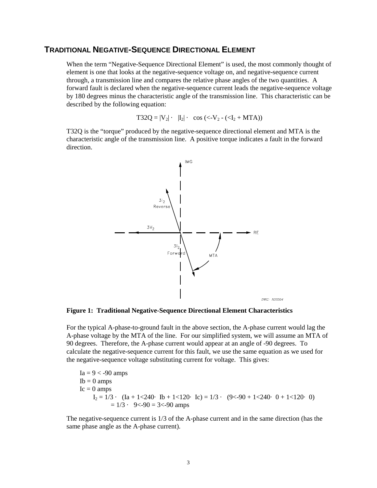#### **TRADITIONAL NEGATIVE-SEQUENCE DIRECTIONAL ELEMENT**

When the term "Negative-Sequence Directional Element" is used, the most commonly thought of element is one that looks at the negative-sequence voltage on, and negative-sequence current through, a transmission line and compares the relative phase angles of the two quantities. A forward fault is declared when the negative-sequence current leads the negative-sequence voltage by 180 degrees minus the characteristic angle of the transmission line. This characteristic can be described by the following equation:

$$
T32Q = |V_2| \cdot |I_2| \cdot \cos \left( \langle -V_2 - (\langle I_2 + MTA \rangle) \right)
$$

T32Q is the "torque" produced by the negative-sequence directional element and MTA is the characteristic angle of the transmission line. A positive torque indicates a fault in the forward direction.



**Figure 1: Traditional Negative-Sequence Directional Element Characteristics** 

For the typical A-phase-to-ground fault in the above section, the A-phase current would lag the A-phase voltage by the MTA of the line. For our simplified system, we will assume an MTA of 90 degrees. Therefore, the A-phase current would appear at an angle of -90 degrees. To calculate the negative-sequence current for this fault, we use the same equation as we used for the negative-sequence voltage substituting current for voltage. This gives:

 $Ia = 9 < -90$  amps  $Ib = 0$  amps  $Ic = 0$  amps  $I_2 = 1/3$  ·  $(Ia + 1 < 240$  ·  $Ib + 1 < 120$  ·  $Ic) = 1/3$  ·  $(9 < -90 + 1 < 240$  ·  $0 + 1 < 120$  · 0)  $= 1/3$  · 9<-90 = 3<-90 amps

The negative-sequence current is 1/3 of the A-phase current and in the same direction (has the same phase angle as the A-phase current).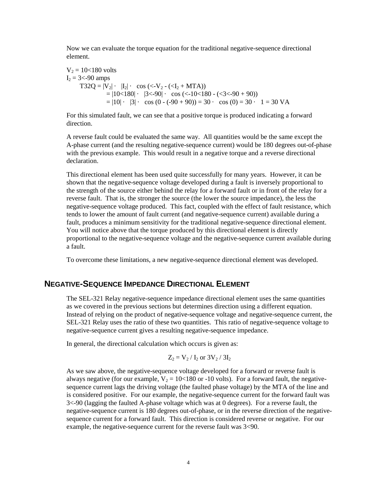Now we can evaluate the torque equation for the traditional negative-sequence directional element.

 $V_2 = 10 < 180$  volts  $I_2 = 3 < -90$  amps  $T32Q = |V_2| \cdot |I_2| \cdot \cos \left( \frac{\langle -V_2 - (I_2 + MTA) \rangle}{\langle -V_2 - (I_2 + MTA) \rangle} \right)$  $= |10 \times 180| \cdot |3 \times 90| \cdot \cos \left( \frac{10 \times 180}{6} \right) \cdot \left( \frac{3 \times 90}{90} \right)$  $= |10| \cdot |3| \cdot \cos (0 - (-90 + 90)) = 30 \cdot \cos (0) = 30 \cdot 1 = 30 \text{ VA}$ 

For this simulated fault, we can see that a positive torque is produced indicating a forward direction.

A reverse fault could be evaluated the same way. All quantities would be the same except the A-phase current (and the resulting negative-sequence current) would be 180 degrees out-of-phase with the previous example. This would result in a negative torque and a reverse directional declaration.

This directional element has been used quite successfully for many years. However, it can be shown that the negative-sequence voltage developed during a fault is inversely proportional to the strength of the source either behind the relay for a forward fault or in front of the relay for a reverse fault. That is, the stronger the source (the lower the source impedance), the less the negative-sequence voltage produced. This fact, coupled with the effect of fault resistance, which tends to lower the amount of fault current (and negative-sequence current) available during a fault, produces a minimum sensitivity for the traditional negative-sequence directional element. You will notice above that the torque produced by this directional element is directly proportional to the negative-sequence voltage and the negative-sequence current available during a fault.

To overcome these limitations, a new negative-sequence directional element was developed.

#### **NEGATIVE-SEQUENCE IMPEDANCE DIRECTIONAL ELEMENT**

The SEL-321 Relay negative-sequence impedance directional element uses the same quantities as we covered in the previous sections but determines direction using a different equation. Instead of relying on the product of negative-sequence voltage and negative-sequence current, the SEL-321 Relay uses the ratio of these two quantities. This ratio of negative-sequence voltage to negative-sequence current gives a resulting negative-sequence impedance.

In general, the directional calculation which occurs is given as:

$$
Z_2 = V_2 / I_2
$$
 or  $3V_2 / 3I_2$ 

As we saw above, the negative-sequence voltage developed for a forward or reverse fault is always negative (for our example,  $V_2 = 10 \lt 180$  or -10 volts). For a forward fault, the negativesequence current lags the driving voltage (the faulted phase voltage) by the MTA of the line and is considered positive. For our example, the negative-sequence current for the forward fault was 3<-90 (lagging the faulted A-phase voltage which was at 0 degrees). For a reverse fault, the negative-sequence current is 180 degrees out-of-phase, or in the reverse direction of the negativesequence current for a forward fault. This direction is considered reverse or negative. For our example, the negative-sequence current for the reverse fault was 3<90.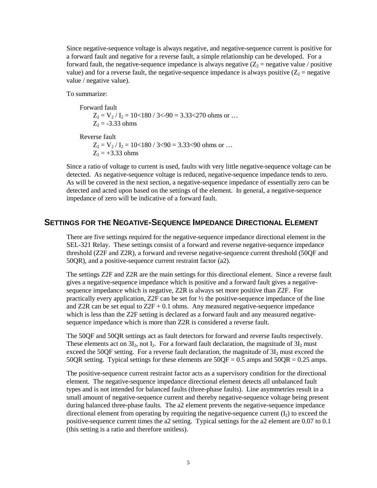Since negative-sequence voltage is always negative, and negative-sequence current is positive for a forward fault and negative for a reverse fault, a simple relationship can be developed. For a forward fault, the negative-sequence impedance is always negative  $(Z_2 =$  negative value / positive value) and for a reverse fault, the negative-sequence impedance is always positive  $(Z_2 =$  negative value / negative value).

To summarize:

 Forward fault  $Z_2 = V_2 / I_2 = 10 \times 180 / 3 \times 90 = 3.33 \times 270$  ohms or ...  $Z_2 = -3.33$  ohms

Reverse fault

 $Z_2 = V_2 / I_2 = 10 \times 180 / 3 \times 90 = 3.33 \times 90$  ohms or ...  $Z_2 = +3.33$  ohms

Since a ratio of voltage to current is used, faults with very little negative-sequence voltage can be detected. As negative-sequence voltage is reduced, negative-sequence impedance tends to zero. As will be covered in the next section, a negative-sequence impedance of essentially zero can be detected and acted upon based on the settings of the element. In general, a negative-sequence impedance of zero will be indicative of a forward fault.

#### **SETTINGS FOR THE NEGATIVE-SEQUENCE IMPEDANCE DIRECTIONAL ELEMENT**

There are five settings required for the negative-sequence impedance directional element in the SEL-321 Relay. These settings consist of a forward and reverse negative-sequence impedance threshold (Z2F and Z2R), a forward and reverse negative-sequence current threshold (50QF and 50QR), and a positive-sequence current restraint factor (a2).

The settings Z2F and Z2R are the main settings for this directional element. Since a reverse fault gives a negative-sequence impedance which is positive and a forward fault gives a negativesequence impedance which is negative, Z2R is always set more positive than Z2F. For practically every application,  $Z2F$  can be set for  $\frac{1}{2}$  the positive-sequence impedance of the line and Z2R can be set equal to  $Z2F + 0.1$  ohms. Any measured negative-sequence impedance which is less than the Z2F setting is declared as a forward fault and any measured negativesequence impedance which is more than Z2R is considered a reverse fault.

The 50QF and 50QR settings act as fault detectors for forward and reverse faults respectively. These elements act on  $3I_2$ , not  $I_2$ . For a forward fault declaration, the magnitude of  $3I_2$  must exceed the 50QF setting. For a reverse fault declaration, the magnitude of  $3I_2$  must exceed the 50QR setting. Typical settings for these elements are  $50QF = 0.5$  amps and  $50QR = 0.25$  amps.

The positive-sequence current restraint factor acts as a supervisory condition for the directional element. The negative-sequence impedance directional element detects all unbalanced fault types and is not intended for balanced faults (three-phase faults). Line asymmetries result in a small amount of negative-sequence current and thereby negative-sequence voltage being present during balanced three-phase faults. The a2 element prevents the negative-sequence impedance directional element from operating by requiring the negative-sequence current  $(I_2)$  to exceed the positive-sequence current times the a2 setting. Typical settings for the a2 element are 0.07 to 0.1 (this setting is a ratio and therefore unitless).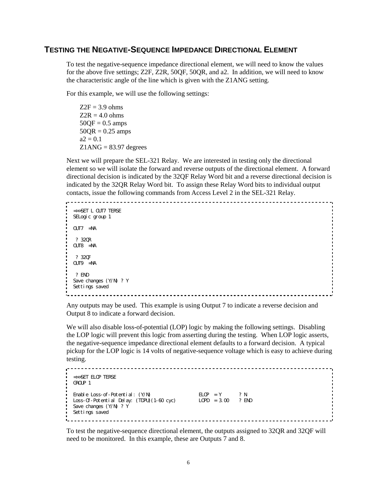#### **TESTING THE NEGATIVE-SEQUENCE IMPEDANCE DIRECTIONAL ELEMENT**

To test the negative-sequence impedance directional element, we will need to know the values for the above five settings; Z2F, Z2R, 50QF, 50QR, and a2. In addition, we will need to know the characteristic angle of the line which is given with the Z1ANG setting.

For this example, we will use the following settings:

 $Z2F = 3.9$  ohms  $Z2R = 4.0$  ohms  $50OF = 0.5$  amps  $50QR = 0.25$  amps  $a2 = 0.1$  $Z1$ ANG = 83.97 degrees

Next we will prepare the SEL-321 Relay. We are interested in testing only the directional element so we will isolate the forward and reverse outputs of the directional element. A forward directional decision is indicated by the 32QF Relay Word bit and a reverse directional decision is indicated by the 32QR Relay Word bit. To assign these Relay Word bits to individual output contacts, issue the following commands from Access Level 2 in the SEL-321 Relay.

```
=>>SET L OUT7 TERSE 
SELogic group 1
OUT7 =NA 
  ? 32QR 
OUT8 =NA 
  ? 32QF 
OUT9 =NA 
  ? END 
Save changes (Y/N) ? Y 
Settings saved
```
Any outputs may be used. This example is using Output 7 to indicate a reverse decision and Output 8 to indicate a forward decision.

We will also disable loss-of-potential (LOP) logic by making the following settings. Disabling the LOP logic will prevent this logic from asserting during the testing. When LOP logic asserts, the negative-sequence impedance directional element defaults to a forward decision. A typical pickup for the LOP logic is 14 volts of negative-sequence voltage which is easy to achieve during testing.

```
=>>SET ELOP TERSE 
GROUP 1 
Enable Loss-of-Potential: (Y/N) ELOP = Y ? N 
Loss-Of-Potential Delay: (TDPU)(1-60 cyc) LOPD = 3.00 ? END 
Save changes (Y/N) ? Y 
Settings saved
```
To test the negative-sequence directional element, the outputs assigned to 32QR and 32QF will need to be monitored. In this example, these are Outputs 7 and 8.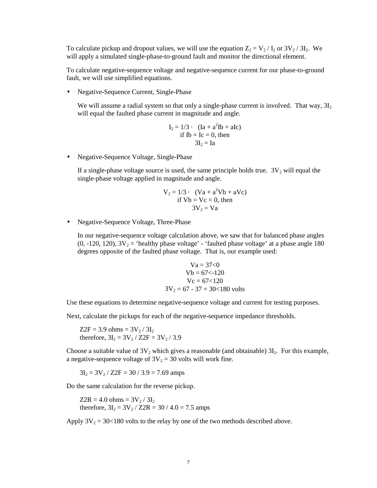To calculate pickup and dropout values, we will use the equation  $Z_2 = V_2 / I_2$  or  $3V_2 / 3I_2$ . We will apply a simulated single-phase-to-ground fault and monitor the directional element.

To calculate negative-sequence voltage and negative-sequence current for our phase-to-ground fault, we will use simplified equations.

• Negative-Sequence Current, Single-Phase

We will assume a radial system so that only a single-phase current is involved. That way,  $3I_2$ will equal the faulted phase current in magnitude and angle.

$$
I_2 = 1/3 \cdot (Ia + a^2Ib + aIc)
$$
  
if Ib = Ic = 0, then  

$$
3I_2 = Ia
$$

• Negative-Sequence Voltage, Single-Phase

If a single-phase voltage source is used, the same principle holds true.  $3V_2$  will equal the single-phase voltage applied in magnitude and angle.

$$
V_2 = 1/3 \cdot (Va + a^2Vb + aVc)
$$
  
if Vb = Vc = 0, then  

$$
3V_2 = Va
$$

• Negative-Sequence Voltage, Three-Phase

In our negative-sequence voltage calculation above, we saw that for balanced phase angles (0, -120, 120),  $3V_2$  = 'healthy phase voltage' - 'faulted phase voltage' at a phase angle 180 degrees opposite of the faulted phase voltage. That is, our example used:

$$
Va = 37<0
$$
  
 
$$
Vb = 67<-120
$$
  
 
$$
Vc = 67<120
$$
  
 
$$
3V_2 = 67 - 37 = 30<180
$$
 volts

Use these equations to determine negative-sequence voltage and current for testing purposes.

Next, calculate the pickups for each of the negative-sequence impedance thresholds.

 $Z2F = 3.9 \text{ ohms} = 3V_2 / 3I_2$ therefore,  $3I_2 = 3V_2 / Z2F = 3V_2 / 3.9$ 

Choose a suitable value of  $3V_2$  which gives a reasonable (and obtainable)  $3I_2$ . For this example, a negative-sequence voltage of  $3V_2 = 30$  volts will work fine.

 $3I_2 = 3V_2 / Z2F = 30 / 3.9 = 7.69$  amps

Do the same calculation for the reverse pickup.

 $Z2R = 4.0 \text{ ohms} = 3V_2 / 3I_2$ therefore,  $3I_2 = 3V_2 / Z2R = 30 / 4.0 = 7.5$  amps

Apply  $3V_2 = 30 \lt 180$  volts to the relay by one of the two methods described above.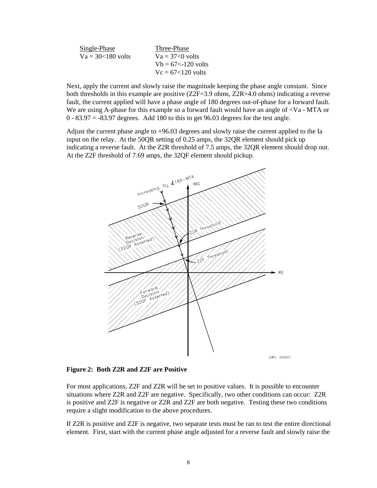| Single-Phase          | Three-Phase            |
|-----------------------|------------------------|
| $Va = 30 < 180$ volts | $Va = 37<0$ volts      |
|                       | $Vb = 67 < -120$ volts |
|                       | $V_c = 67 < 120$ volts |

Next, apply the current and slowly raise the magnitude keeping the phase angle constant. Since both thresholds in this example are positive (Z2F=3.9 ohms, Z2R=4.0 ohms) indicating a reverse fault, the current applied will have a phase angle of 180 degrees out-of-phase for a forward fault. We are using A-phase for this example so a forward fault would have an angle of  $\langle Va - MTA$  or  $0 - 83.97 = -83.97$  degrees. Add 180 to this to get 96.03 degrees for the test angle.

Adjust the current phase angle to +96.03 degrees and slowly raise the current applied to the Ia input on the relay. At the 50QR setting of 0.25 amps, the 32QR element should pick up indicating a reverse fault. At the Z2R threshold of 7.5 amps, the 32QR element should drop out. At the Z2F threshold of 7.69 amps, the 32QF element should pickup.



**Figure 2: Both Z2R and Z2F are Positive** 

For most applications, Z2F and Z2R will be set to positive values. It is possible to encounter situations where Z2R and Z2F are negative. Specifically, two other conditions can occur: Z2R is positive and Z2F is negative or Z2R and Z2F are both negative. Testing these two conditions require a slight modification to the above procedures.

If Z2R is positive and Z2F is negative, two separate tests must be ran to test the entire directional element. First, start with the current phase angle adjusted for a reverse fault and slowly raise the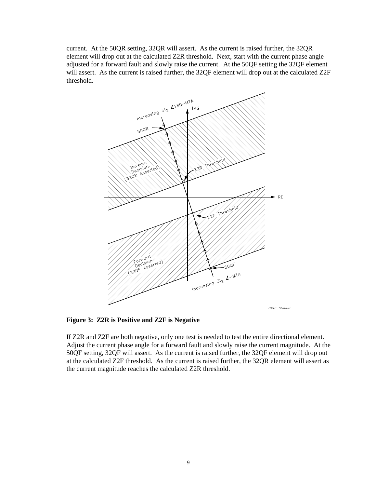current. At the 50QR setting, 32QR will assert. As the current is raised further, the 32QR element will drop out at the calculated Z2R threshold. Next, start with the current phase angle adjusted for a forward fault and slowly raise the current. At the 50QF setting the 32QF element will assert. As the current is raised further, the 32QF element will drop out at the calculated Z2F threshold.



**Figure 3: Z2R is Positive and Z2F is Negative** 

If Z2R and Z2F are both negative, only one test is needed to test the entire directional element. Adjust the current phase angle for a forward fault and slowly raise the current magnitude. At the 50QF setting, 32QF will assert. As the current is raised further, the 32QF element will drop out at the calculated Z2F threshold. As the current is raised further, the 32QR element will assert as the current magnitude reaches the calculated Z2R threshold.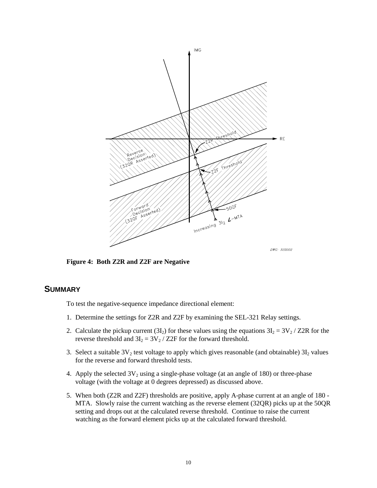

**Figure 4: Both Z2R and Z2F are Negative** 

## **SUMMARY**

To test the negative-sequence impedance directional element:

- 1. Determine the settings for Z2R and Z2F by examining the SEL-321 Relay settings.
- 2. Calculate the pickup current (3I<sub>2</sub>) for these values using the equations  $3I_2 = 3V_2 / Z2R$  for the reverse threshold and  $3I_2 = 3V_2 / Z2F$  for the forward threshold.
- 3. Select a suitable  $3V_2$  test voltage to apply which gives reasonable (and obtainable)  $3I_2$  values for the reverse and forward threshold tests.
- 4. Apply the selected  $3V_2$  using a single-phase voltage (at an angle of 180) or three-phase voltage (with the voltage at 0 degrees depressed) as discussed above.
- 5. When both (Z2R and Z2F) thresholds are positive, apply A-phase current at an angle of 180 MTA. Slowly raise the current watching as the reverse element (32QR) picks up at the 50QR setting and drops out at the calculated reverse threshold. Continue to raise the current watching as the forward element picks up at the calculated forward threshold.